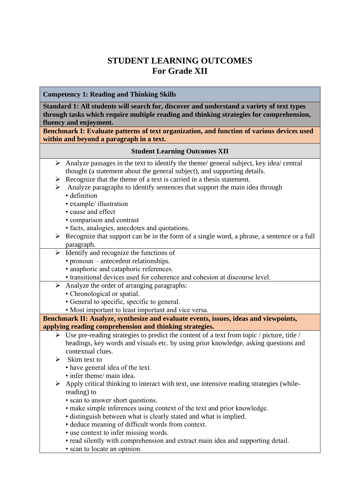# **STUDENT LEARNING OUTCOMES For Grade XII**

## **Competency 1: Reading and Thinking Skills**

**Standard 1: All students will search for, discover and understand a variety of text types through tasks which require multiple reading and thinking strategies for comprehension, fluency and enjoyment.** 

**Benchmark I: Evaluate patterns of text organization, and function of various devices used within and beyond a paragraph in a text.**

#### **Student Learning Outcomes XII**

- $\triangleright$  Analyze passages in the text to identify the theme/ general subject, key idea/ central thought (a statement about the general subject), and supporting details.
- $\triangleright$  Recognize that the theme of a text is carried in a thesis statement.
- $\triangleright$  Analyze paragraphs to identify sentences that support the main idea through
	- definition
	- example/ illustration
	- cause and effect
	- comparison and contrast
	- facts, analogies, anecdotes and quotations.
- $\triangleright$  Recognize that support can be in the form of a single word, a phrase, a sentence or a full paragraph.
- $\triangleright$  Identify and recognize the functions of
	- pronoun antecedent relationships.
	- anaphoric and cataphoric references.
	- transitional devices used for coherence and cohesion at discourse level.
- $\triangleright$  Analyze the order of arranging paragraphs:
	- Chronological or spatial.
	- General to specific, specific to general.
	- Most important to least important and vice versa.

**Benchmark II: Analyze, synthesize and evaluate events, issues, ideas and viewpoints, applying reading comprehension and thinking strategies.**

- $\triangleright$  Use pre-reading strategies to predict the content of a text from topic / picture, title / headings, key words and visuals etc. by using prior knowledge, asking questions and contextual clues.
- $\triangleright$  Skim text to
	- have general idea of the text.
	- infer theme/ main idea.
- $\triangleright$  Apply critical thinking to interact with text, use intensive reading strategies (whilereading) to
	- scan to answer short questions.
	- make simple inferences using context of the text and prior knowledge.
	- distinguish between what is clearly stated and what is implied.
	- deduce meaning of difficult words from context.
	- use context to infer missing words.
	- read silently with comprehension and extract main idea and supporting detail.
	- scan to locate an opinion.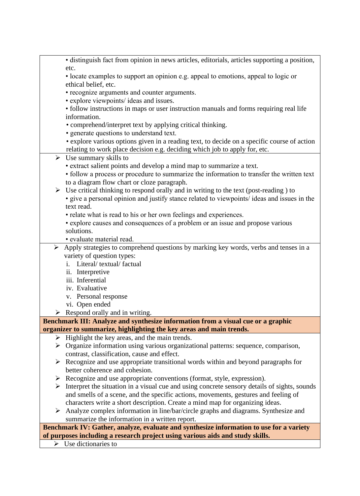|   | · distinguish fact from opinion in news articles, editorials, articles supporting a position,         |
|---|-------------------------------------------------------------------------------------------------------|
|   | etc.                                                                                                  |
|   | • locate examples to support an opinion e.g. appeal to emotions, appeal to logic or                   |
|   | ethical belief, etc.                                                                                  |
|   | • recognize arguments and counter arguments.                                                          |
|   | · explore viewpoints/ ideas and issues.                                                               |
|   | • follow instructions in maps or user instruction manuals and forms requiring real life               |
|   | information.                                                                                          |
|   | • comprehend/interpret text by applying critical thinking.                                            |
|   | • generate questions to understand text.                                                              |
|   | • explore various options given in a reading text, to decide on a specific course of action           |
|   | relating to work place decision e.g. deciding which job to apply for, etc.                            |
|   | $\triangleright$ Use summary skills to                                                                |
|   | • extract salient points and develop a mind map to summarize a text.                                  |
|   | • follow a process or procedure to summarize the information to transfer the written text             |
|   | to a diagram flow chart or cloze paragraph.                                                           |
|   | $\triangleright$ Use critical thinking to respond orally and in writing to the text (post-reading) to |
|   | • give a personal opinion and justify stance related to viewpoints/ ideas and issues in the           |
|   | text read.                                                                                            |
|   | • relate what is read to his or her own feelings and experiences.                                     |
|   | • explore causes and consequences of a problem or an issue and propose various                        |
|   | solutions.                                                                                            |
|   | · evaluate material read.                                                                             |
| ➤ | Apply strategies to comprehend questions by marking key words, verbs and tenses in a                  |
|   | variety of question types:                                                                            |
|   | Literal/ textual/ factual<br>i.                                                                       |
|   | ii. Interpretive                                                                                      |
|   | iii. Inferential                                                                                      |
|   | iv. Evaluative                                                                                        |
|   | v. Personal response                                                                                  |
|   | vi. Open ended                                                                                        |
|   | Respond orally and in writing.                                                                        |
|   | Benchmark III: Analyze and synthesize information from a visual cue or a graphic                      |
|   | organizer to summarize, highlighting the key areas and main trends.                                   |
|   | $\triangleright$ Highlight the key areas, and the main trends.                                        |
|   | > Organize information using various organizational patterns: sequence, comparison,                   |
|   | contrast, classification, cause and effect.                                                           |
|   | $\triangleright$ Recognize and use appropriate transitional words within and beyond paragraphs for    |
|   | better coherence and cohesion.                                                                        |
|   | $\triangleright$ Recognize and use appropriate conventions (format, style, expression).               |
|   | > Interpret the situation in a visual cue and using concrete sensory details of sights, sounds        |
|   | and smells of a scene, and the specific actions, movements, gestures and feeling of                   |
|   | characters write a short description. Create a mind map for organizing ideas.                         |
|   | $\triangleright$ Analyze complex information in line/bar/circle graphs and diagrams. Synthesize and   |
|   | summarize the information in a written report.                                                        |
|   | Benchmark IV: Gather, analyze, evaluate and synthesize information to use for a variety               |
|   | of purposes including a research project using various aids and study skills.                         |
|   | $\triangleright$ Use dictionaries to                                                                  |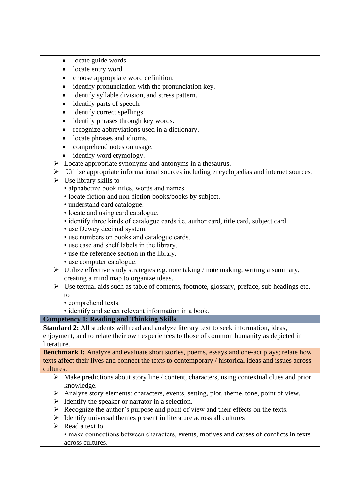- locate guide words.
- locate entry word.
- choose appropriate word definition.
- identify pronunciation with the pronunciation key.
- identify syllable division, and stress pattern.
- identify parts of speech.
- identify correct spellings.
- identify phrases through key words.
- recognize abbreviations used in a dictionary.
- locate phrases and idioms.
- comprehend notes on usage.
- identify word etymology.
- ➢ Locate appropriate synonyms and antonyms in a thesaurus.
- ➢ Utilize appropriate informational sources including encyclopedias and internet sources.
- $\triangleright$  Use library skills to
	- alphabetize book titles, words and names.
	- locate fiction and non-fiction books/books by subject.
	- understand card catalogue.
	- locate and using card catalogue.
	- identify three kinds of catalogue cards i.e. author card, title card, subject card.
	- use Dewey decimal system.
	- use numbers on books and catalogue cards.
	- use case and shelf labels in the library.
	- use the reference section in the library.
	- use computer catalogue.
- ➢ Utilize effective study strategies e.g. note taking / note making, writing a summary, creating a mind map to organize ideas.
- ➢ Use textual aids such as table of contents, footnote, glossary, preface, sub headings etc. to
	- comprehend texts.
	- identify and select relevant information in a book.

### **Competency 1: Reading and Thinking Skills**

**Standard 2:** All students will read and analyze literary text to seek information, ideas, enjoyment, and to relate their own experiences to those of common humanity as depicted in literature.

**Benchmark I:** Analyze and evaluate short stories, poems, essays and one-act plays; relate how texts affect their lives and connect the texts to contemporary / historical ideas and issues across cultures.

- $\triangleright$  Make predictions about story line / content, characters, using contextual clues and prior knowledge.
- ➢ Analyze story elements: characters, events, setting, plot, theme, tone, point of view.
- $\triangleright$  Identify the speaker or narrator in a selection.
- ➢ Recognize the author's purpose and point of view and their effects on the texts.
- ➢ Identify universal themes present in literature across all cultures

### $\triangleright$  Read a text to

• make connections between characters, events, motives and causes of conflicts in texts across cultures.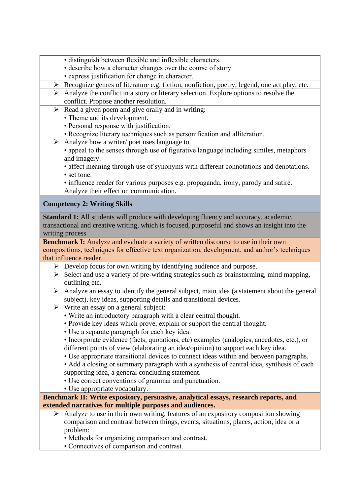- distinguish between flexible and inflexible characters.
- describe how a character changes over the course of story.
- express justification for change in character.
- ➢ Recognize genres of literature e.g. fiction, nonfiction, poetry, legend, one act play, etc.
- ➢ Analyze the conflict in a story or literary selection. Explore options to resolve the conflict. Propose another resolution.
- $\triangleright$  Read a given poem and give orally and in writing:
	- Theme and its development.
	- Personal response with justification.
	- Recognize literary techniques such as personification and alliteration.
- ➢ Analyze how a writer/ poet uses language to
	- appeal to the senses through use of figurative language including similes, metaphors and imagery.
	- affect meaning through use of synonyms with different connotations and denotations.
	- set tone.
	- influence reader for various purposes e.g. propaganda, irony, parody and satire. Analyze their effect on communication.

## **Competency 2: Writing Skills**

**Standard 1:** All students will produce with developing fluency and accuracy, academic, transactional and creative writing, which is focused, purposeful and shows an insight into the writing process

**Benchmark I:** Analyze and evaluate a variety of written discourse to use in their own compositions, techniques for effective text organization, development, and author's techniques that influence reader.

- ➢ Develop focus for own writing by identifying audience and purpose.
- ➢ Select and use a variety of pre-writing strategies such as brainstorming, mind mapping, outlining etc.
- ➢ Analyze an essay to identify the general subject, main idea (a statement about the general subject), key ideas, supporting details and transitional devices.
- $\triangleright$  Write an essay on a general subject:
	- Write an introductory paragraph with a clear central thought.
	- Provide key ideas which prove, explain or support the central thought.
	- Use a separate paragraph for each key idea.
	- Incorporate evidence (facts, quotations, etc) examples (analogies, anecdotes, etc.), or different points of view (elaborating an idea/opinion) to support each key idea.
	- Use appropriate transitional devices to connect ideas within and between paragraphs.

• Add a closing or summary paragraph with a synthesis of central idea, synthesis of each supporting idea, a general concluding statement.

- Use correct conventions of grammar and punctuation.
- Use appropriate vocabulary.

**Benchmark II: Write expository, persuasive, analytical essays, research reports, and extended narratives for multiple purposes and audiences.**

- ➢ Analyze to use in their own writing, features of an expository composition showing comparison and contrast between things, events, situations, places, action, idea or a problem:
	- Methods for organizing comparison and contrast.
	- Connectives of comparison and contrast.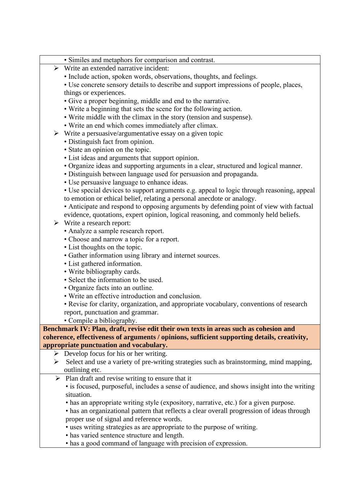- Similes and metaphors for comparison and contrast.
- ➢ Write an extended narrative incident:
	- Include action, spoken words, observations, thoughts, and feelings.
	- Use concrete sensory details to describe and support impressions of people, places, things or experiences.
	- Give a proper beginning, middle and end to the narrative.
	- Write a beginning that sets the scene for the following action.
	- Write middle with the climax in the story (tension and suspense).
	- Write an end which comes immediately after climax.
- $\triangleright$  Write a persuasive/argumentative essay on a given topic
	- Distinguish fact from opinion.
	- State an opinion on the topic.
	- List ideas and arguments that support opinion.
	- Organize ideas and supporting arguments in a clear, structured and logical manner.
	- Distinguish between language used for persuasion and propaganda.
	- Use persuasive language to enhance ideas.
	- Use special devices to support arguments e.g. appeal to logic through reasoning, appeal to emotion or ethical belief, relating a personal anecdote or analogy.
	- Anticipate and respond to opposing arguments by defending point of view with factual
	- evidence, quotations, expert opinion, logical reasoning, and commonly held beliefs.
- ➢ Write a research report:
	- Analyze a sample research report.
	- Choose and narrow a topic for a report.
	- List thoughts on the topic.
	- Gather information using library and internet sources.
	- List gathered information.
	- Write bibliography cards.
	- Select the information to be used.
	- Organize facts into an outline.
	- Write an effective introduction and conclusion.
	- Revise for clarity, organization, and appropriate vocabulary, conventions of research report, punctuation and grammar.
	- Compile a bibliography.

#### **Benchmark IV: Plan, draft, revise edit their own texts in areas such as cohesion and coherence, effectiveness of arguments / opinions, sufficient supporting details, creativity, appropriate punctuation and vocabulary.**

- $\triangleright$  Develop focus for his or her writing.
- ➢ Select and use a variety of pre-writing strategies such as brainstorming, mind mapping, outlining etc.
- $\triangleright$  Plan draft and revise writing to ensure that it
	- is focused, purposeful, includes a sense of audience, and shows insight into the writing situation.
	- has an appropriate writing style (expository, narrative, etc.) for a given purpose.
	- has an organizational pattern that reflects a clear overall progression of ideas through proper use of signal and reference words.
	- uses writing strategies as are appropriate to the purpose of writing.
	- has varied sentence structure and length.
	- has a good command of language with precision of expression.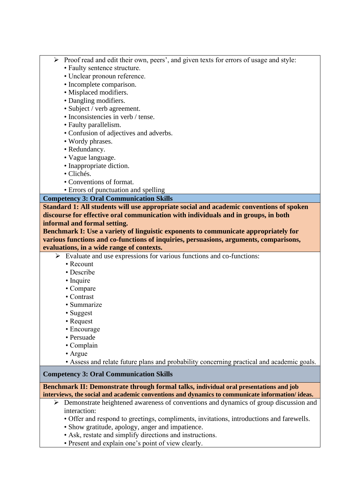- ➢ Proof read and edit their own, peers', and given texts for errors of usage and style:
	- Faulty sentence structure.
	- Unclear pronoun reference.
	- Incomplete comparison.
	- Misplaced modifiers.
	- Dangling modifiers.
	- Subject / verb agreement.
	- Inconsistencies in verb / tense.
	- Faulty parallelism.
	- Confusion of adjectives and adverbs.
	- Wordy phrases.
	- Redundancy.
	- Vague language.
	- Inappropriate diction.
	- Clichés.
	- Conventions of format.
	- Errors of punctuation and spelling

#### **Competency 3: Oral Communication Skills**

**Standard 1: All students will use appropriate social and academic conventions of spoken discourse for effective oral communication with individuals and in groups, in both informal and formal setting.**

**Benchmark I: Use a variety of linguistic exponents to communicate appropriately for various functions and co-functions of inquiries, persuasions, arguments, comparisons, evaluations, in a wide range of contexts.**

- ➢ Evaluate and use expressions for various functions and co-functions:
	- Recount
	- Describe
	- Inquire
	- Compare
	- Contrast
	- Summarize
	- Suggest
	- Request
	- Encourage
	- Persuade
	- Complain
	- Argue
	- Assess and relate future plans and probability concerning practical and academic goals.

#### **Competency 3: Oral Communication Skills**

**Benchmark II: Demonstrate through formal talks, individual oral presentations and job interviews, the social and academic conventions and dynamics to communicate information/ ideas.**

- ➢ Demonstrate heightened awareness of conventions and dynamics of group discussion and interaction:
	- Offer and respond to greetings, compliments, invitations, introductions and farewells.
	- Show gratitude, apology, anger and impatience.
	- Ask, restate and simplify directions and instructions.
	- Present and explain one's point of view clearly.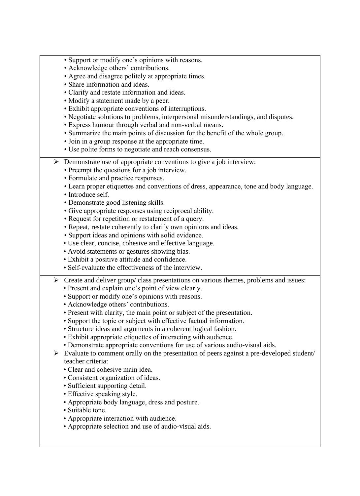- Support or modify one's opinions with reasons.
- Acknowledge others' contributions.
- Agree and disagree politely at appropriate times.
- Share information and ideas.
- Clarify and restate information and ideas.
- Modify a statement made by a peer.
- Exhibit appropriate conventions of interruptions.
- Negotiate solutions to problems, interpersonal misunderstandings, and disputes.
- Express humour through verbal and non-verbal means.
- Summarize the main points of discussion for the benefit of the whole group.
- Join in a group response at the appropriate time.
- Use polite forms to negotiate and reach consensus.
- ➢ Demonstrate use of appropriate conventions to give a job interview:
	- Preempt the questions for a job interview.
	- Formulate and practice responses.
	- Learn proper etiquettes and conventions of dress, appearance, tone and body language.
	- Introduce self.
	- Demonstrate good listening skills.
	- Give appropriate responses using reciprocal ability.
	- Request for repetition or restatement of a query.
	- Repeat, restate coherently to clarify own opinions and ideas.
	- Support ideas and opinions with solid evidence.
	- Use clear, concise, cohesive and effective language.
	- Avoid statements or gestures showing bias.
	- Exhibit a positive attitude and confidence.
	- Self-evaluate the effectiveness of the interview.
- $\triangleright$  Create and deliver group/ class presentations on various themes, problems and issues:
	- Present and explain one's point of view clearly.
	- Support or modify one's opinions with reasons.
	- Acknowledge others' contributions.
	- Present with clarity, the main point or subject of the presentation.
	- Support the topic or subject with effective factual information.
	- Structure ideas and arguments in a coherent logical fashion.
	- Exhibit appropriate etiquettes of interacting with audience.
	- Demonstrate appropriate conventions for use of various audio-visual aids.
- ➢ Evaluate to comment orally on the presentation of peers against a pre-developed student/ teacher criteria:
	- Clear and cohesive main idea.
	- Consistent organization of ideas.
	- Sufficient supporting detail.
	- Effective speaking style.
	- Appropriate body language, dress and posture.
	- Suitable tone.
	- Appropriate interaction with audience.
	- Appropriate selection and use of audio-visual aids.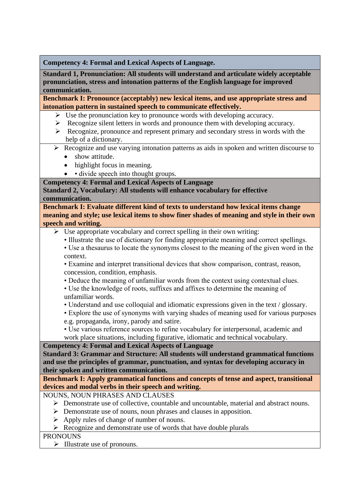**Competency 4: Formal and Lexical Aspects of Language.**

**Standard 1, Pronunciation: All students will understand and articulate widely acceptable pronunciation, stress and intonation patterns of the English language for improved communication.**

**Benchmark I: Pronounce (acceptably) new lexical items, and use appropriate stress and intonation pattern in sustained speech to communicate effectively.**

- ➢ Use the pronunciation key to pronounce words with developing accuracy.
- ➢ Recognize silent letters in words and pronounce them with developing accuracy.
- ➢ Recognize, pronounce and represent primary and secondary stress in words with the help of a dictionary.
- ➢ Recognize and use varying intonation patterns as aids in spoken and written discourse to
	- show attitude.
	- highlight focus in meaning.
	- • divide speech into thought groups.
- **Competency 4: Formal and Lexical Aspects of Language**

### **Standard 2, Vocabulary: All students will enhance vocabulary for effective communication.**

**Benchmark I: Evaluate different kind of texts to understand how lexical items change meaning and style; use lexical items to show finer shades of meaning and style in their own speech and writing.**

- $\triangleright$  Use appropriate vocabulary and correct spelling in their own writing:
	- Illustrate the use of dictionary for finding appropriate meaning and correct spellings.
	- Use a thesaurus to locate the synonyms closest to the meaning of the given word in the context.
	- Examine and interpret transitional devices that show comparison, contrast, reason, concession, condition, emphasis.
	- Deduce the meaning of unfamiliar words from the context using contextual clues.
	- Use the knowledge of roots, suffixes and affixes to determine the meaning of unfamiliar words.
	- Understand and use colloquial and idiomatic expressions given in the text / glossary.
	- Explore the use of synonyms with varying shades of meaning used for various purposes e.g. propaganda, irony, parody and satire.

• Use various reference sources to refine vocabulary for interpersonal, academic and work place situations, including figurative, idiomatic and technical vocabulary.

**Competency 4: Formal and Lexical Aspects of Language**

**Standard 3: Grammar and Structure: All students will understand grammatical functions and use the principles of grammar, punctuation, and syntax for developing accuracy in their spoken and written communication.**

**Benchmark I: Apply grammatical functions and concepts of tense and aspect, transitional devices and modal verbs in their speech and writing.**

NOUNS, NOUN PHRASES AND CLAUSES

- $\triangleright$  Demonstrate use of collective, countable and uncountable, material and abstract nouns.
- ➢ Demonstrate use of nouns, noun phrases and clauses in apposition.
- ➢ Apply rules of change of number of nouns.
- $\triangleright$  Recognize and demonstrate use of words that have double plurals

### **PRONOUNS**

➢ Illustrate use of pronouns.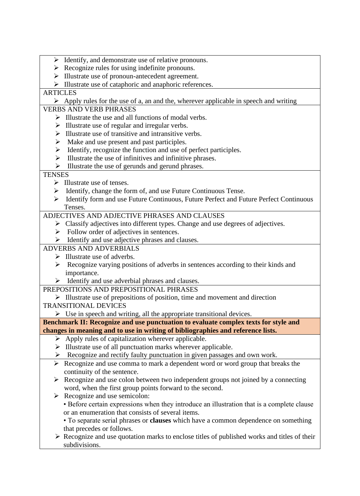- ➢ Identify, and demonstrate use of relative pronouns.
- $\triangleright$  Recognize rules for using indefinite pronouns.
- ➢ Illustrate use of pronoun-antecedent agreement.
- ➢ Illustrate use of cataphoric and anaphoric references.

## **ARTICLES**

 $\triangleright$  Apply rules for the use of a, an and the, wherever applicable in speech and writing

## VERBS AND VERB PHRASES

- $\triangleright$  Illustrate the use and all functions of modal verbs.
- $\triangleright$  Illustrate use of regular and irregular verbs.
- ➢ Illustrate use of transitive and intransitive verbs.
- $\triangleright$  Make and use present and past participles.
- ➢ Identify, recognize the function and use of perfect participles.
- $\triangleright$  Illustrate the use of infinitives and infinitive phrases.
- ➢ Illustrate the use of gerunds and gerund phrases.

## **TENSES**

- ➢ Illustrate use of tenses.
- ➢ Identify, change the form of, and use Future Continuous Tense.
- ➢ Identify form and use Future Continuous, Future Perfect and Future Perfect Continuous Tenses.

## ADJECTIVES AND ADJECTIVE PHRASES AND CLAUSES

- ➢ Classify adjectives into different types. Change and use degrees of adjectives.
- ➢ Follow order of adjectives in sentences.
- ➢ Identify and use adjective phrases and clauses.

## ADVERBS AND ADVERBIALS

- $\triangleright$  Illustrate use of adverbs.
- ➢ Recognize varying positions of adverbs in sentences according to their kinds and importance.
- ➢ Identify and use adverbial phrases and clauses.
- PREPOSITIONS AND PREPOSITIONAL PHRASES

➢ Illustrate use of prepositions of position, time and movement and direction TRANSITIONAL DEVICES

 $\triangleright$  Use in speech and writing, all the appropriate transitional devices.

## **Benchmark II: Recognize and use punctuation to evaluate complex texts for style and changes in meaning and to use in writing of bibliographies and reference lists.**

- $\triangleright$  Apply rules of capitalization wherever applicable.
- ➢ Illustrate use of all punctuation marks wherever applicable.
- ➢ Recognize and rectify faulty punctuation in given passages and own work.
- ➢ Recognize and use comma to mark a dependent word or word group that breaks the continuity of the sentence.
- ➢ Recognize and use colon between two independent groups not joined by a connecting word, when the first group points forward to the second.
- ➢ Recognize and use semicolon:
	- Before certain expressions when they introduce an illustration that is a complete clause or an enumeration that consists of several items.
	- To separate serial phrases or **clauses** which have a common dependence on something that precedes or follows.
- ➢ Recognize and use quotation marks to enclose titles of published works and titles of their subdivisions.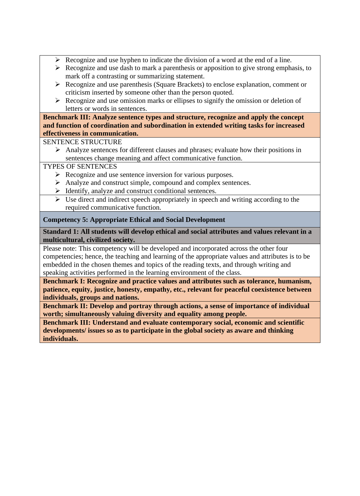- $\triangleright$  Recognize and use hyphen to indicate the division of a word at the end of a line.
- $\triangleright$  Recognize and use dash to mark a parenthesis or apposition to give strong emphasis, to mark off a contrasting or summarizing statement.
- ➢ Recognize and use parenthesis (Square Brackets) to enclose explanation, comment or criticism inserted by someone other than the person quoted.
- $\triangleright$  Recognize and use omission marks or ellipses to signify the omission or deletion of letters or words in sentences.

**Benchmark III: Analyze sentence types and structure, recognize and apply the concept and function of coordination and subordination in extended writing tasks for increased effectiveness in communication.**

SENTENCE STRUCTURE

➢ Analyze sentences for different clauses and phrases; evaluate how their positions in sentences change meaning and affect communicative function.

## TYPES OF SENTENCES

- ➢ Recognize and use sentence inversion for various purposes.
- ➢ Analyze and construct simple, compound and complex sentences.
- ➢ Identify, analyze and construct conditional sentences.
- $\triangleright$  Use direct and indirect speech appropriately in speech and writing according to the required communicative function.

## **Competency 5: Appropriate Ethical and Social Development**

**Standard 1: All students will develop ethical and social attributes and values relevant in a multicultural, civilized society.**

Please note: This competency will be developed and incorporated across the other four competencies; hence, the teaching and learning of the appropriate values and attributes is to be embedded in the chosen themes and topics of the reading texts, and through writing and speaking activities performed in the learning environment of the class.

**Benchmark I: Recognize and practice values and attributes such as tolerance, humanism, patience, equity, justice, honesty, empathy, etc., relevant for peaceful coexistence between individuals, groups and nations.**

**Benchmark II: Develop and portray through actions, a sense of importance of individual worth; simultaneously valuing diversity and equality among people.**

**Benchmark III: Understand and evaluate contemporary social, economic and scientific developments/ issues so as to participate in the global society as aware and thinking individuals.**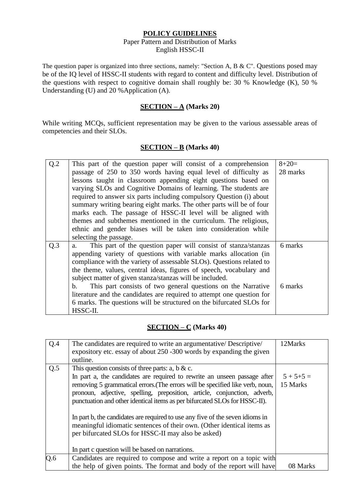#### **POLICY GUIDELINES**

#### Paper Pattern and Distribution of Marks English HSSC-II

The question paper is organized into three sections, namely: "Section A, B & C". Questions posed may be of the IQ level of HSSC-II students with regard to content and difficulty level. Distribution of the questions with respect to cognitive domain shall roughly be: 30 % Knowledge (K), 50 % Understanding (U) and 20 %Application (A).

### **SECTION – A (Marks 20)**

While writing MCQs, sufficient representation may be given to the various assessable areas of competencies and their SLOs.

#### **SECTION – B (Marks 40)**

| Q.2 | This part of the question paper will consist of a comprehension        | $8+20=$  |
|-----|------------------------------------------------------------------------|----------|
|     | passage of 250 to 350 words having equal level of difficulty as        | 28 marks |
|     | lessons taught in classroom appending eight questions based on         |          |
|     | varying SLOs and Cognitive Domains of learning. The students are       |          |
|     | required to answer six parts including compulsory Question (i) about   |          |
|     | summary writing bearing eight marks. The other parts will be of four   |          |
|     | marks each. The passage of HSSC-II level will be aligned with          |          |
|     | themes and subthemes mentioned in the curriculum. The religious,       |          |
|     | ethnic and gender biases will be taken into consideration while        |          |
|     | selecting the passage.                                                 |          |
| Q.3 | This part of the question paper will consist of stanza/stanzas<br>a.   | 6 marks  |
|     | appending variety of questions with variable marks allocation (in      |          |
|     | compliance with the variety of assessable SLOs). Questions related to  |          |
|     | the theme, values, central ideas, figures of speech, vocabulary and    |          |
|     | subject matter of given stanza/stanzas will be included.               |          |
|     | This part consists of two general questions on the Narrative<br>b.     | 6 marks  |
|     | literature and the candidates are required to attempt one question for |          |
|     | 6 marks. The questions will be structured on the bifurcated SLOs for   |          |
|     | HSSC-II.                                                               |          |

### **SECTION – C (Marks 40)**

| Q.4 | The candidates are required to write an argumentative/ Descriptive/<br>expository etc. essay of about 250 -300 words by expanding the given<br>outline.                                                                                                                                                                                                                                                                                                                                                                                                                                                                                      | 12Marks                   |
|-----|----------------------------------------------------------------------------------------------------------------------------------------------------------------------------------------------------------------------------------------------------------------------------------------------------------------------------------------------------------------------------------------------------------------------------------------------------------------------------------------------------------------------------------------------------------------------------------------------------------------------------------------------|---------------------------|
| Q.5 | This question consists of three parts: a, b & c.<br>In part a, the candidates are required to rewrite an unseen passage after<br>removing 5 grammatical errors. (The errors will be specified like verb, noun,<br>pronoun, adjective, spelling, preposition, article, conjunction, adverb,<br>punctuation and other identical items as per bifurcated SLOs for HSSC-II).<br>In part b, the candidates are required to use any five of the seven idioms in<br>meaningful idiomatic sentences of their own. (Other identical items as<br>per bifurcated SLOs for HSSC-II may also be asked)<br>In part c question will be based on narrations. | $5 + 5 + 5 =$<br>15 Marks |
| Q.6 | Candidates are required to compose and write a report on a topic with<br>the help of given points. The format and body of the report will have                                                                                                                                                                                                                                                                                                                                                                                                                                                                                               | 08 Marks                  |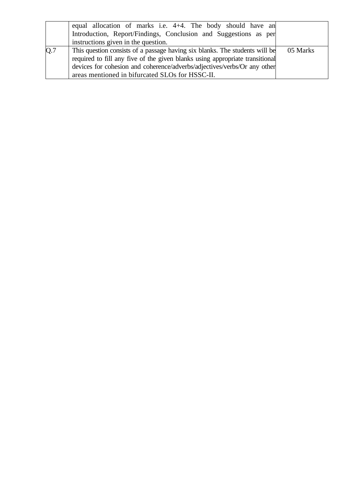|     | equal allocation of marks i.e. 4+4. The body should have an<br>Introduction, Report/Findings, Conclusion and Suggestions as per |          |
|-----|---------------------------------------------------------------------------------------------------------------------------------|----------|
|     | instructions given in the question.                                                                                             |          |
| Q.7 | This question consists of a passage having six blanks. The students will be                                                     | 05 Marks |
|     | required to fill any five of the given blanks using appropriate transitional                                                    |          |
|     | devices for cohesion and coherence/adverbs/adjectives/verbs/Or any other                                                        |          |
|     | areas mentioned in bifurcated SLOs for HSSC-II.                                                                                 |          |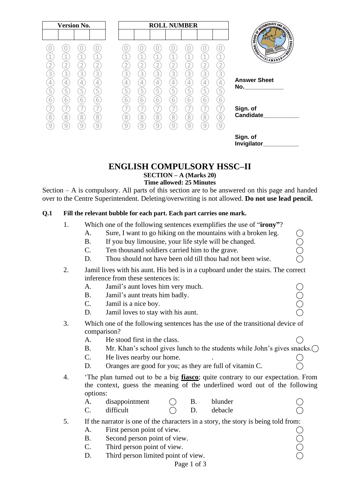| <b>Version No.</b>                                                                                                                                                               |                                                                                                          | <b>ROLL NUMBER</b>                                                       |                                                                                                                                                            |                                                                                                                   |                                                                                                 |                                                                               |                                 |                                                                                                                                                                    |
|----------------------------------------------------------------------------------------------------------------------------------------------------------------------------------|----------------------------------------------------------------------------------------------------------|--------------------------------------------------------------------------|------------------------------------------------------------------------------------------------------------------------------------------------------------|-------------------------------------------------------------------------------------------------------------------|-------------------------------------------------------------------------------------------------|-------------------------------------------------------------------------------|---------------------------------|--------------------------------------------------------------------------------------------------------------------------------------------------------------------|
| 1<br>1<br>$\mathbf{2}$<br>$\overline{2}$<br>3<br>$\left[3\right]$<br>$\boxed{3}$<br>4<br>4<br>4<br>5<br>$\overline{5}$<br>5<br>6<br>6<br>6<br>8<br>$\boxed{8}$<br>$\overline{8}$ | 1<br>$\overline{\mathbf{2}}$<br>$\boxed{3}$<br>4<br>$\overline{5}$<br>$\overline{6}$<br>7<br>$\boxed{8}$ | 4<br>$\overline{2}$<br>3<br>4<br>5<br>$\overline{6}$<br>7<br>$\boxed{8}$ | $\mathbf 1$<br>$\mathbf{2}$<br>$\overline{3}$<br>$\boxed{3}$<br>4<br>4<br>5<br>$\mathsf{S}$<br>$\overline{6}$<br>6<br>7<br>7<br>$\boxed{8}$<br>$\boxed{8}$ | $\mathbf 1$<br>$\overline{2}$<br>$\left[3\right]$<br>4<br>$\overline{5}$<br>$\overline{6}$<br>7<br>$\overline{8}$ | $\mathbf 1$<br>$\mathbf{2}$<br>$\boxed{3}$<br>$\overline{4}$<br>5<br>6<br>7<br>$\left[8\right]$ | 1<br>$\overline{2}$<br>$\left[3\right]$<br>4<br>$\overline{5}$<br>6<br>7<br>8 | 1<br>$\boxed{3}$<br>5<br>6<br>8 | <b>ENGINEERING SCRIPTION OF CHARGES</b><br><b>EDUCATION</b><br>L Magnery<br>VSLAMABAD<br><b>Answer Sheet</b><br>No._______________<br>Sign. of<br><b>Candidate</b> |
| $\overline{9}$<br>$\overline{9}$<br>$\overline{9}$                                                                                                                               | $\overline{9}$                                                                                           | $\overline{9}$                                                           | g<br>9                                                                                                                                                     | $\overline{9}$                                                                                                    | <sup>9</sup>                                                                                    | $\overline{9}$                                                                | $\overline{9}$                  | Sign. of<br><b>Invigilator</b>                                                                                                                                     |

## **ENGLISH COMPULSORY HSSC–II**

**SECTION – A (Marks 20)**

#### **Time allowed: 25 Minutes**

Section – A is compulsory. All parts of this section are to be answered on this page and handed over to the Centre Superintendent. Deleting/overwriting is not allowed. **Do not use lead pencil.**

#### **Q.1 Fill the relevant bubble for each part. Each part carries one mark.**

- 1. Which one of the following sentences exemplifies the use of "**irony"**?
	- A. Sure, I want to go hiking on the mountains with a broken leg.
	- B. If you buy limousine, your life style will be changed.
	- C. Ten thousand soldiers carried him to the grave.
	- D. Thou should not have been old till thou had not been wise.
- 2. Jamil lives with his aunt. His bed is in a cupboard under the stairs. The correct inference from these sentences is:
	- A. Jamil's aunt loves him very much.<br>
	B. Jamil's aunt treats him badly.  $\bigcirc$ <br>
	C. Jamil is a nice boy.
	- B. Jamil's aunt treats him badly.
	- C. Jamil is a nice boy.
	- D. Jamil loves to stay with his aunt.
- 3. Which one of the following sentences has the use of the transitional device of comparison?
	- A. He stood first in the class.
	- B. Mr. Khan's school gives lunch to the students while John's gives snacks.
	- C. He lives nearby our home.
	- D. Oranges are good for you; as they are full of vitamin C.
- 4. 'The plan turned out to be a big **fiasco**; quite contrary to our expectation. From the context, guess the meaning of the underlined word out of the following options:

| A. | disappointment |  | blunder |  |
|----|----------------|--|---------|--|
| ⌒  | difficult      |  | debacle |  |

- 5. If the narrator is one of the characters in a story, the story is being told from:
	-
	- A. First person point of view.<br>
	B. Second person point of view.<br>
	C. Third person point of view. B. Second person point of view.
	- C. Third person point of view.
	- D. Third person limited point of view.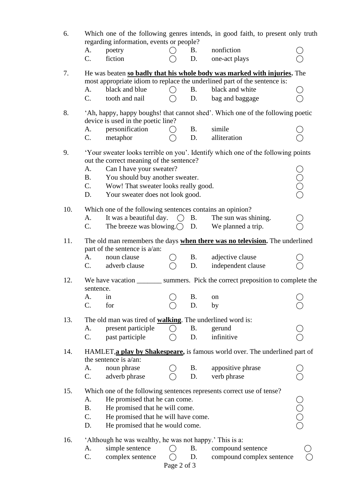| 6.  | Which one of the following genres intends, in good faith, to present only truth<br>regarding information, events or people? |             |            |                                                                                                                                                       |                                           |  |  |  |
|-----|-----------------------------------------------------------------------------------------------------------------------------|-------------|------------|-------------------------------------------------------------------------------------------------------------------------------------------------------|-------------------------------------------|--|--|--|
|     | А.<br>poetry                                                                                                                |             | <b>B</b> . | nonfiction                                                                                                                                            |                                           |  |  |  |
|     | C.<br>fiction                                                                                                               |             | D.         | one-act plays                                                                                                                                         |                                           |  |  |  |
| 7.  |                                                                                                                             |             |            | He was beaten so badly that his whole body was marked with injuries. The<br>most appropriate idiom to replace the underlined part of the sentence is: |                                           |  |  |  |
|     | black and blue<br>A.                                                                                                        | ( )         | <b>B.</b>  | black and white                                                                                                                                       |                                           |  |  |  |
|     | tooth and nail<br>$C_{\cdot}$                                                                                               |             | D.         | bag and baggage                                                                                                                                       |                                           |  |  |  |
| 8.  | device is used in the poetic line?                                                                                          |             |            | 'Ah, happy, happy boughs! that cannot shed'. Which one of the following poetic                                                                        |                                           |  |  |  |
|     | personification<br>А.                                                                                                       |             | <b>B.</b>  | simile                                                                                                                                                |                                           |  |  |  |
|     | metaphor<br>$\mathbf{C}$ .                                                                                                  |             | D.         | alliteration                                                                                                                                          |                                           |  |  |  |
| 9.  | out the correct meaning of the sentence?                                                                                    |             |            | 'Your sweater looks terrible on you'. Identify which one of the following points                                                                      |                                           |  |  |  |
|     | Can I have your sweater?<br>А.                                                                                              |             |            |                                                                                                                                                       |                                           |  |  |  |
|     | <b>B.</b><br>You should buy another sweater.                                                                                |             |            |                                                                                                                                                       |                                           |  |  |  |
|     | C.<br>Wow! That sweater looks really good.                                                                                  |             |            |                                                                                                                                                       |                                           |  |  |  |
|     | Your sweater does not look good.<br>D.                                                                                      |             |            |                                                                                                                                                       |                                           |  |  |  |
| 10. | Which one of the following sentences contains an opinion?                                                                   |             |            |                                                                                                                                                       |                                           |  |  |  |
|     | It was a beautiful day.<br>A.                                                                                               | $\bigcap$   | <b>B.</b>  | The sun was shining.                                                                                                                                  |                                           |  |  |  |
|     | The breeze was blowing. $\bigcirc$ D.<br>C.                                                                                 |             |            | We planned a trip.                                                                                                                                    |                                           |  |  |  |
|     |                                                                                                                             |             |            |                                                                                                                                                       |                                           |  |  |  |
| 11. | part of the sentence is a/an:                                                                                               |             |            | The old man remembers the days when there was no television. The underlined                                                                           |                                           |  |  |  |
|     | noun clause<br>A.                                                                                                           |             | <b>B.</b>  | adjective clause                                                                                                                                      |                                           |  |  |  |
|     | C.<br>adverb clause                                                                                                         |             | D.         | independent clause                                                                                                                                    |                                           |  |  |  |
| 12. | sentence.                                                                                                                   |             |            | We have vacation __________ summers. Pick the correct preposition to complete the                                                                     |                                           |  |  |  |
|     | A.<br>in                                                                                                                    |             | Β.         | on                                                                                                                                                    |                                           |  |  |  |
|     | $C$ .<br>for                                                                                                                |             | D.         | by                                                                                                                                                    |                                           |  |  |  |
| 13. | The old man was tired of <b>walking</b> . The underlined word is:                                                           |             |            |                                                                                                                                                       |                                           |  |  |  |
|     | present participle<br>A.                                                                                                    |             | <b>B.</b>  | gerund                                                                                                                                                |                                           |  |  |  |
|     | C.<br>past participle                                                                                                       |             | D.         | infinitive                                                                                                                                            |                                           |  |  |  |
| 14. | the sentence is $a/an$ :                                                                                                    |             |            | HAMLET, a play by Shakespeare, is famous world over. The underlined part of                                                                           |                                           |  |  |  |
|     | noun phrase<br>A.                                                                                                           |             | <b>B.</b>  | appositive phrase                                                                                                                                     |                                           |  |  |  |
|     | C.<br>adverb phrase                                                                                                         |             | D.         | verb phrase                                                                                                                                           |                                           |  |  |  |
|     |                                                                                                                             |             |            |                                                                                                                                                       |                                           |  |  |  |
| 15. |                                                                                                                             |             |            | Which one of the following sentences represents correct use of tense?                                                                                 |                                           |  |  |  |
|     | He promised that he can come.<br>A.                                                                                         |             |            |                                                                                                                                                       |                                           |  |  |  |
|     | <b>B.</b><br>He promised that he will come.                                                                                 |             |            |                                                                                                                                                       |                                           |  |  |  |
|     | C.<br>He promised that he will have come.                                                                                   |             |            |                                                                                                                                                       | $\begin{matrix} 0 \\ 0 \\ 0 \end{matrix}$ |  |  |  |
|     | He promised that he would come.<br>D.                                                                                       |             |            |                                                                                                                                                       |                                           |  |  |  |
| 16. | 'Although he was wealthy, he was not happy.' This is a:                                                                     |             |            |                                                                                                                                                       |                                           |  |  |  |
|     | simple sentence<br>A.                                                                                                       |             | Β.         | compound sentence                                                                                                                                     |                                           |  |  |  |
|     | C.<br>complex sentence                                                                                                      |             | D.         | compound complex sentence                                                                                                                             |                                           |  |  |  |
|     |                                                                                                                             | Page 2 of 3 |            |                                                                                                                                                       |                                           |  |  |  |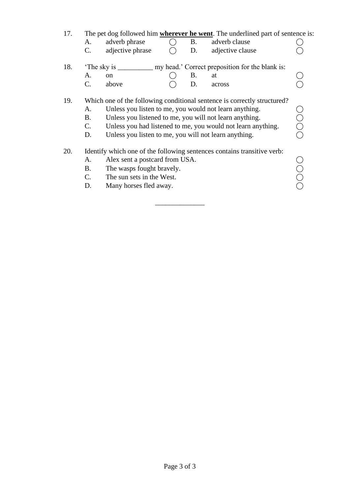| 17. | A.<br>$\mathbf{C}$ .             | adverb phrase<br>adjective phrase                                                                                                                                                                                                                                                                                      |  | <b>B</b> .<br>D. | The pet dog followed him <b>wherever he went</b> . The underlined part of sentence is:<br>adverb clause<br>adjective clause |  |  |  |
|-----|----------------------------------|------------------------------------------------------------------------------------------------------------------------------------------------------------------------------------------------------------------------------------------------------------------------------------------------------------------------|--|------------------|-----------------------------------------------------------------------------------------------------------------------------|--|--|--|
| 18. |                                  |                                                                                                                                                                                                                                                                                                                        |  |                  |                                                                                                                             |  |  |  |
|     | A.                               | <sub>on</sub>                                                                                                                                                                                                                                                                                                          |  | <b>B.</b>        | at                                                                                                                          |  |  |  |
|     | $\mathcal{C}$ .                  | above                                                                                                                                                                                                                                                                                                                  |  | D.               | across                                                                                                                      |  |  |  |
| 19. | A.<br>B.<br>$\mathbf{C}$ .<br>D. | Which one of the following conditional sentence is correctly structured?<br>Unless you listen to me, you would not learn anything.<br>Unless you listened to me, you will not learn anything.<br>Unless you had listened to me, you would not learn anything.<br>Unless you listen to me, you will not learn anything. |  |                  |                                                                                                                             |  |  |  |
| 20. |                                  |                                                                                                                                                                                                                                                                                                                        |  |                  | Identify which one of the following sentences contains transitive verb:                                                     |  |  |  |
|     | A.                               | Alex sent a postcard from USA.                                                                                                                                                                                                                                                                                         |  |                  |                                                                                                                             |  |  |  |
|     | <b>B.</b>                        | The wasps fought bravely.                                                                                                                                                                                                                                                                                              |  |                  |                                                                                                                             |  |  |  |
|     | $C_{\cdot}$                      | The sun sets in the West.                                                                                                                                                                                                                                                                                              |  |                  |                                                                                                                             |  |  |  |
|     | D.                               | Many horses fled away.                                                                                                                                                                                                                                                                                                 |  |                  |                                                                                                                             |  |  |  |
|     |                                  |                                                                                                                                                                                                                                                                                                                        |  |                  |                                                                                                                             |  |  |  |

\_\_\_\_\_\_\_\_\_\_\_\_\_\_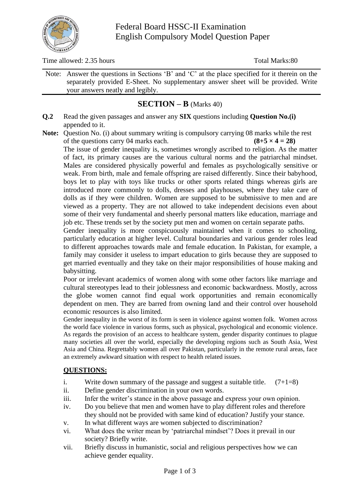

Time allowed: 2.35 hours Total Marks: 80

Note: Answer the questions in Sections 'B' and 'C' at the place specified for it therein on the separately provided E-Sheet. No supplementary answer sheet will be provided. Write your answers neatly and legibly.

## **SECTION – B** (Marks 40)

**Q.2** Read the given passages and answer any **SIX** questions including **Question No.(i)** appended to it.

**Note:** Question No. (i) about summary writing is compulsory carrying 08 marks while the rest of the questions carry 04 marks each.  $(8+5 \times 4 = 28)$ 

The issue of gender inequality is, sometimes wrongly ascribed to religion. As the matter of fact, its primary causes are the various cultural norms and the patriarchal mindset. Males are considered physically powerful and females as psychologically sensitive or weak. From birth, male and female offspring are raised differently. Since their babyhood, boys let to play with toys like trucks or other sports related things whereas girls are introduced more commonly to dolls, dresses and playhouses, where they take care of dolls as if they were children. Women are supposed to be submissive to men and are viewed as a property. They are not allowed to take independent decisions even about some of their very fundamental and sheerly personal matters like education, marriage and job etc. These trends set by the society put men and women on certain separate paths.

Gender inequality is more conspicuously maintained when it comes to schooling, particularly education at higher level. Cultural boundaries and various gender roles lead to different approaches towards male and female education. In Pakistan, for example, a family may consider it useless to impart education to girls because they are supposed to get married eventually and they take on their major responsibilities of house making and babysitting.

Poor or irrelevant academics of women along with some other factors like marriage and cultural stereotypes lead to their joblessness and economic backwardness. Mostly, across the globe women cannot find equal work opportunities and remain economically dependent on men. They are barred from owning land and their control over household economic resources is also limited.

Gender inequality in the worst of its form is seen in violence against women folk. Women across the world face violence in various forms, such as physical, psychological and economic violence. As regards the provision of an access to healthcare system, gender disparity continues to plague many societies all over the world, especially the developing regions such as South Asia, West Asia and China. Regrettably women all over Pakistan, particularly in the remote rural areas, face an extremely awkward situation with respect to health related issues.

### **QUESTIONS:**

- i. Write down summary of the passage and suggest a suitable title.  $(7+1=8)$
- ii. Define gender discrimination in your own words.
- iii. Infer the writer's stance in the above passage and express your own opinion.
- iv. Do you believe that men and women have to play different roles and therefore they should not be provided with same kind of education? Justify your stance.
- v. In what different ways are women subjected to discrimination?
- vi. What does the writer mean by 'patriarchal mindset'? Does it prevail in our society? Briefly write.
- vii. Briefly discuss in humanistic, social and religious perspectives how we can achieve gender equality.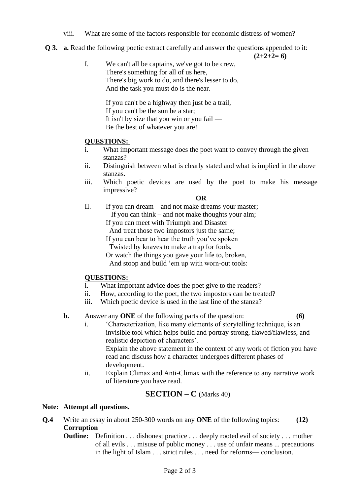- viii. What are some of the factors responsible for economic distress of women?
- **Q 3. a.** Read the following poetic extract carefully and answer the questions appended to it:

 $(2+2+2=6)$ 

I. We can't all be captains, we've got to be crew, There's something for all of us here, There's big work to do, and there's lesser to do, And the task you must do is the near.

> If you can't be a highway then just be a trail, If you can't be the sun be a star; It isn't by size that you win or you fail — Be the best of whatever you are!

### **QUESTIONS:**

- i. What important message does the poet want to convey through the given stanzas?
- ii. Distinguish between what is clearly stated and what is implied in the above stanzas.
- iii. Which poetic devices are used by the poet to make his message impressive?

#### **OR**

- II. If you can dream and not make dreams your master; If you can think – and not make thoughts your aim;
	- If you can meet with Triumph and Disaster

And treat those two impostors just the same;

If you can bear to hear the truth you've spoken

Twisted by knaves to make a trap for fools,

Or watch the things you gave your life to, broken,

And stoop and build 'em up with worn-out tools:

### **QUESTIONS:**

- i. What important advice does the poet give to the readers?
- ii. How, according to the poet, the two impostors can be treated?
- iii. Which poetic device is used in the last line of the stanza?

#### **b.** Answer any **ONE** of the following parts of the question: **(6)**

i. 'Characterization, like many elements of storytelling technique, is an invisible tool which helps build and portray strong, flawed/flawless, and realistic depiction of characters'.

Explain the above statement in the context of any work of fiction you have read and discuss how a character undergoes different phases of development.

ii. Explain Climax and Anti-Climax with the reference to any narrative work of literature you have read.

## **SECTION – C** (Marks 40)

#### **Note: Attempt all questions.**

- **Q.4** Write an essay in about 250-300 words on any **ONE** of the following topics: **(12) Corruption**
	- **Outline:** Definition . . . dishonest practice . . . deeply rooted evil of society . . . mother of all evils . . . misuse of public money . . . use of unfair means ... precautions in the light of Islam . . . strict rules . . . need for reforms— conclusion.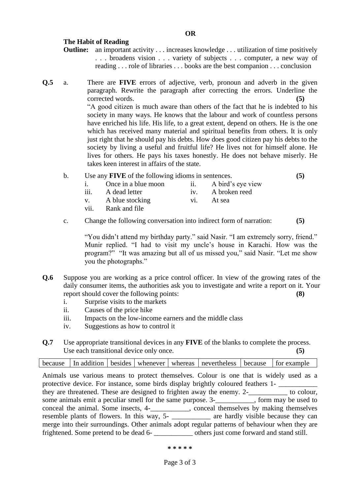#### **The Habit of Reading**

- **Outline:** an important activity . . . increases knowledge . . . utilization of time positively . . . broadens vision . . . variety of subjects . . . computer, a new way of reading . . . role of libraries . . . books are the best companion . . . conclusion
- **Q.5** a. There are **FIVE** errors of adjective, verb, pronoun and adverb in the given paragraph. Rewrite the paragraph after correcting the errors. Underline the corrected words. **(5)** "A good citizen is much aware than others of the fact that he is indebted to his society in many ways. He knows that the labour and work of countless persons have enriched his life. His life, to a great extent, depend on others. He is the one which has received many material and spiritual benefits from others. It is only just right that he should pay his debts. How does good citizen pay his debts to the society by living a useful and fruitful life? He lives not for himself alone. He lives for others. He pays his taxes honestly. He does not behave miserly. He takes keen interest in affairs of the state.

|  | Use any <b>FIVE</b> of the following idioms in sentences. |  |
|--|-----------------------------------------------------------|--|
|--|-----------------------------------------------------------|--|

|      | Once in a blue moon | A bird's eye view |
|------|---------------------|-------------------|
| iii. | A dead letter       | A broken reed     |
|      |                     |                   |

- v. A blue stocking vi. At sea
- vii. Rank and file
- c. Change the following conversation into indirect form of narration: **(5)**

"You didn't attend my birthday party." said Nasir. "I am extremely sorry, friend." Munir replied. "I had to visit my uncle's house in Karachi. How was the program?" "It was amazing but all of us missed you," said Nasir. "Let me show you the photographs."

- **Q.6** Suppose you are working as a price control officer. In view of the growing rates of the daily consumer items, the authorities ask you to investigate and write a report on it. Your report should cover the following points: **(8)**
	- i. Surprise visits to the markets
	- ii. Causes of the price hike
	- iii. Impacts on the low-income earners and the middle class
	- iv. Suggestions as how to control it
- **Q.7** Use appropriate transitional devices in any **FIVE** of the blanks to complete the process. Use each transitional device only once. **(5)** (5)

|  |  | because $\vert$ In addition $\vert$ besides $\vert$ whenever $\vert$ whereas $\vert$ nevertheless $\vert$ because $\vert$ for example |  |
|--|--|---------------------------------------------------------------------------------------------------------------------------------------|--|
|  |  |                                                                                                                                       |  |

Animals use various means to protect themselves. Colour is one that is widely used as a protective device. For instance, some birds display brightly coloured feathers 1they are threatened. These are designed to frighten away the enemy. 2-\_\_\_\_\_\_\_\_\_\_\_ to colour, some animals emit a peculiar smell for the same purpose. 3-\_\_\_\_\_\_\_\_\_\_\_, form may be used to conceal the animal. Some insects, 4-\_\_\_\_\_\_\_\_\_\_\_, conceal themselves by making themselves resemble plants of flowers. In this way, 5- \_\_\_\_\_\_\_\_\_ are hardly visible because they can merge into their surroundings. Other animals adopt regular patterns of behaviour when they are frightened. Some pretend to be dead 6- \_\_\_\_\_\_\_\_\_\_\_ others just come forward and stand still.

#### **\* \* \* \* \***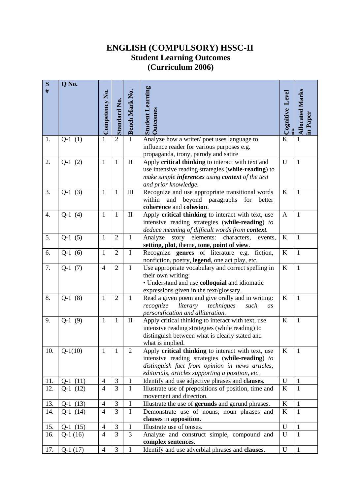## **ENGLISH (COMPULSORY) HSSC-II Student Learning Outcomes (Curriculum 2006)**

| ${\bf S}$<br>$\#$ | Q No.      | Competency No. | <b>Standard No.</b> | <b>Bench Mark No.</b> | <b>Student Learning</b><br><b>Outcomes</b>                                                            | Cognitive Level | <b>Allocated Marks</b> |
|-------------------|------------|----------------|---------------------|-----------------------|-------------------------------------------------------------------------------------------------------|-----------------|------------------------|
|                   |            |                |                     |                       |                                                                                                       |                 | in Paper               |
| 1.                | $Q-1(1)$   | 1              | $\overline{2}$      | $\mathbf I$           | Analyze how a writer/poet uses language to<br>influence reader for various purposes e.g.              | $\bf K$         | $\mathbf{1}$           |
|                   |            |                |                     |                       | propaganda, irony, parody and satire                                                                  |                 |                        |
| 2.                | $Q-1(2)$   | $\mathbf{1}$   | $\mathbf{1}$        | $\rm II$              | Apply critical thinking to interact with text and                                                     | $\mathbf U$     | $\mathbf{1}$           |
|                   |            |                |                     |                       | use intensive reading strategies (while-reading) to                                                   |                 |                        |
|                   |            |                |                     |                       | make simple <b>inferences</b> using <b>context</b> of the text                                        |                 |                        |
|                   |            |                |                     |                       | and prior knowledge.                                                                                  |                 |                        |
| 3.                | $Q-1(3)$   | $\mathbf{1}$   | $\mathbf{1}$        | $\mathop{\rm III}$    | Recognize and use appropriate transitional words<br>and beyond paragraphs<br>within<br>for<br>better  | $\rm K$         | $\mathbf{1}$           |
|                   |            |                |                     |                       | coherence and cohesion.                                                                               |                 |                        |
| 4.                | $Q-1(4)$   | $\mathbf{1}$   | $\mathbf{1}$        | $\rm II$              | Apply critical thinking to interact with text, use                                                    | $\mathbf{A}$    | $\mathbf{1}$           |
|                   |            |                |                     |                       | intensive reading strategies (while-reading) to                                                       |                 |                        |
|                   |            |                |                     |                       | deduce meaning of difficult words from context.                                                       |                 |                        |
| 5.                | $Q-1(5)$   | $\mathbf{1}$   | $\overline{2}$      | $\bf{I}$              | elements:<br>story<br>characters,<br>Analyze<br>events,                                               | $\bf K$         | $\mathbf{1}$           |
|                   |            |                |                     |                       | setting, plot, theme, tone, point of view.                                                            |                 |                        |
| 6.                | $Q-1(6)$   | $\mathbf{1}$   | $\overline{2}$      | $\mathbf I$           | Recognize genres of literature e.g. fiction,                                                          | K               | $\mathbf{1}$           |
| 7.                | $Q-1(7)$   | $\overline{4}$ | $\overline{2}$      | $\overline{I}$        | nonfiction, poetry, legend, one act play, etc.<br>Use appropriate vocabulary and correct spelling in  | $\bf K$         | $\mathbf{1}$           |
|                   |            |                |                     |                       | their own writing:                                                                                    |                 |                        |
|                   |            |                |                     |                       | • Understand and use colloquial and idiomatic                                                         |                 |                        |
|                   |            |                |                     |                       | expressions given in the text/glossary.                                                               |                 |                        |
| 8.                | $Q-1(8)$   | $\mathbf{1}$   | $\overline{2}$      | $\mathbf{1}$          | Read a given poem and give orally and in writing:                                                     | $\bf K$         | $\mathbf{1}$           |
|                   |            |                |                     |                       | recognize<br>literary<br>techniques<br>such<br>as                                                     |                 |                        |
|                   |            |                |                     |                       | personification and alliteration.                                                                     |                 |                        |
| 9.                | $Q-1(9)$   | $\mathbf{1}$   | $\mathbf{1}$        | $\mathbf{I}$          | Apply critical thinking to interact with text, use<br>intensive reading strategies (while reading) to | $\bf K$         | $\mathbf{1}$           |
|                   |            |                |                     |                       | distinguish between what is clearly stated and                                                        |                 |                        |
|                   |            |                |                     |                       | what is implied.                                                                                      |                 |                        |
| 10.               | $Q-1(10)$  | $\mathbf{1}$   | $\mathbf{1}$        | $\overline{2}$        | Apply critical thinking to interact with text, use                                                    | $\bf K$         | $\mathbf{1}$           |
|                   |            |                |                     |                       | intensive reading strategies (while-reading) to                                                       |                 |                        |
|                   |            |                |                     |                       | distinguish fact from opinion in news articles,                                                       |                 |                        |
|                   |            |                |                     |                       | editorials, articles supporting a position, etc.                                                      |                 |                        |
| 11.               | $Q-1(11)$  | $\overline{4}$ | 3                   | $\mathbf I$           | Identify and use adjective phrases and clauses.                                                       | $\mathbf{U}$    | $\mathbf{1}$           |
| 12.               | $Q-1(12)$  | $\overline{4}$ | $\mathfrak{Z}$      | $\bf{I}$              | Illustrate use of prepositions of position, time and<br>movement and direction.                       | K               | $\mathbf{1}$           |
| 13.               | $Q-1(13)$  | $\overline{4}$ | 3                   | $\bf{I}$              | Illustrate the use of gerunds and gerund phrases.                                                     | K               | 1                      |
| 14.               | $Q-1$ (14) | $\overline{4}$ | $\overline{3}$      | $\mathbf I$           | Demonstrate use of nouns, noun phrases and                                                            | K               | $\mathbf{1}$           |
|                   |            |                |                     |                       | clauses in apposition.                                                                                |                 |                        |
| 15.               | $Q-1(15)$  | $\overline{4}$ | $\mathfrak{Z}$      | $\bf I$               | Illustrate use of tenses.                                                                             | $\mathbf{U}$    | $\mathbf{1}$           |
| 16.               | $Q-1(16)$  | $\overline{4}$ | $\overline{3}$      | 3                     | Analyze and construct simple, compound and                                                            | U               | $\mathbf{1}$           |
|                   |            |                |                     |                       | complex sentences.                                                                                    |                 |                        |
| 17.               | $Q-1(17)$  | $\overline{4}$ | $\mathfrak{Z}$      | $\mathbf I$           | Identify and use adverbial phrases and clauses.                                                       | $\mathbf U$     | $\mathbf{1}$           |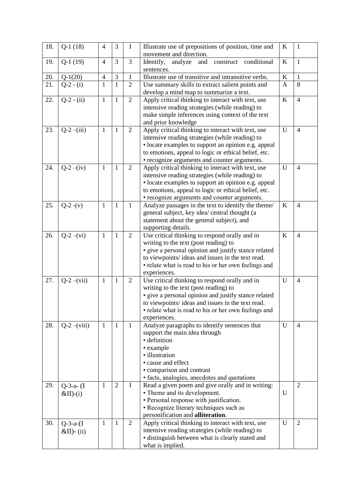| $Q-1(19)$<br>3<br>$\overline{3}$<br>$\bf K$<br>$\overline{4}$<br>$\mathbf{1}$<br>19.<br>Identify,<br>analyze<br>and<br>conditional<br>construct<br>sentences.<br>3<br>Illustrate use of transitive and intransitive verbs.<br>$\bf K$<br>$\overline{4}$<br>I<br>$\mathbf{1}$<br>20.<br>$Q-1(20)$<br>21.<br>$\mathbf{1}$<br>8<br>$Q-2 - (i)$<br>$\overline{2}$<br>Use summary skills to extract salient points and<br>$\mathbf{1}$<br>$\mathbf{A}$<br>develop a mind map to summarize a text.<br>$Q-2 - (ii)$<br>$\overline{2}$<br>Apply critical thinking to interact with text, use<br>$\bf K$<br>$\overline{4}$<br>22.<br>$\mathbf{1}$<br>$\mathbf{1}$<br>intensive reading strategies (while reading) to<br>make simple inferences using context of the text<br>and prior knowledge<br>$Q-2-(iii)$<br>$\overline{2}$<br>23.<br>$\mathbf{1}$<br>$\mathbf{1}$<br>Apply critical thinking to interact with text, use<br>$\mathbf U$<br>$\overline{4}$<br>intensive reading strategies (while reading) to<br>· locate examples to support an opinion e.g. appeal<br>to emotions, appeal to logic or ethical belief, etc.<br>• recognize arguments and counter arguments.<br>$Q-2-(iv)$<br>Apply critical thinking to interact with text, use<br>24.<br>$\mathbf{1}$<br>U<br>$\mathbf{1}$<br>$\overline{2}$<br>$\overline{4}$<br>intensive reading strategies (while reading) to<br>• locate examples to support an opinion e.g. appeal<br>to emotions, appeal to logic or ethical belief, etc.<br>• recognize arguments and counter arguments.<br>25.<br>$Q-2-(v)$<br>$\mathbf{1}$<br>$\mathbf{1}$<br>Analyze passages in the text to identify the theme/<br>$\bf K$<br>$\mathbf{1}$<br>$\overline{4}$<br>general subject, key idea/ central thought (a<br>statement about the general subject), and<br>supporting details.<br>$\mathbf{1}$<br>$\mathbf{1}$<br>Use critical thinking to respond orally and in<br>$\bf K$<br>26.<br>$Q-2-(vi)$<br>$\overline{2}$<br>$\overline{4}$<br>writing to the text (post reading) to<br>· give a personal opinion and justify stance related<br>to viewpoints/ ideas and issues in the text read.<br>• relate what is read to his or her own feelings and<br>experiences.<br>Use critical thinking to respond orally and in<br>27.<br>$Q-2-(vii)$<br>$\mathbf{1}$<br>$\mathbf{1}$<br>U<br>$\overline{2}$<br>4<br>writing to the text (post reading) to<br>• give a personal opinion and justify stance related<br>to viewpoints/ ideas and issues in the text read.<br>• relate what is read to his or her own feelings and<br>experiences.<br>Analyze paragraphs to identify sentences that<br>$Q-2-(viii)$<br>$\mathbf{1}$<br>U<br>28.<br>$\mathbf{1}$<br>$\overline{4}$<br>1<br>support the main idea through<br>· definition<br>• example<br>· illustration<br>• cause and effect<br>• comparison and contrast<br>· facts, analogies, anecdotes and quotations<br>$\overline{2}$<br>$\overline{2}$<br>29.<br>$\mathbf{1}$<br>$\mathbf I$<br>Read a given poem and give orally and in writing:<br>$Q-3-a-$ (I | 18. | $Q-1(18)$ | $\overline{4}$ | 3 | I | Illustrate use of prepositions of position, time and<br>movement and direction. | $\bf K$ | $\mathbf{1}$ |
|-------------------------------------------------------------------------------------------------------------------------------------------------------------------------------------------------------------------------------------------------------------------------------------------------------------------------------------------------------------------------------------------------------------------------------------------------------------------------------------------------------------------------------------------------------------------------------------------------------------------------------------------------------------------------------------------------------------------------------------------------------------------------------------------------------------------------------------------------------------------------------------------------------------------------------------------------------------------------------------------------------------------------------------------------------------------------------------------------------------------------------------------------------------------------------------------------------------------------------------------------------------------------------------------------------------------------------------------------------------------------------------------------------------------------------------------------------------------------------------------------------------------------------------------------------------------------------------------------------------------------------------------------------------------------------------------------------------------------------------------------------------------------------------------------------------------------------------------------------------------------------------------------------------------------------------------------------------------------------------------------------------------------------------------------------------------------------------------------------------------------------------------------------------------------------------------------------------------------------------------------------------------------------------------------------------------------------------------------------------------------------------------------------------------------------------------------------------------------------------------------------------------------------------------------------------------------------------------------------------------------------------------------------------------------------------------------------------------------------------------------------------------------------------------------------------------------------------------------------------------------------------------------------------------------------------------------------------------------------------------------------------------------------------------------------|-----|-----------|----------------|---|---|---------------------------------------------------------------------------------|---------|--------------|
|                                                                                                                                                                                                                                                                                                                                                                                                                                                                                                                                                                                                                                                                                                                                                                                                                                                                                                                                                                                                                                                                                                                                                                                                                                                                                                                                                                                                                                                                                                                                                                                                                                                                                                                                                                                                                                                                                                                                                                                                                                                                                                                                                                                                                                                                                                                                                                                                                                                                                                                                                                                                                                                                                                                                                                                                                                                                                                                                                                                                                                                       |     |           |                |   |   |                                                                                 |         |              |
|                                                                                                                                                                                                                                                                                                                                                                                                                                                                                                                                                                                                                                                                                                                                                                                                                                                                                                                                                                                                                                                                                                                                                                                                                                                                                                                                                                                                                                                                                                                                                                                                                                                                                                                                                                                                                                                                                                                                                                                                                                                                                                                                                                                                                                                                                                                                                                                                                                                                                                                                                                                                                                                                                                                                                                                                                                                                                                                                                                                                                                                       |     |           |                |   |   |                                                                                 |         |              |
|                                                                                                                                                                                                                                                                                                                                                                                                                                                                                                                                                                                                                                                                                                                                                                                                                                                                                                                                                                                                                                                                                                                                                                                                                                                                                                                                                                                                                                                                                                                                                                                                                                                                                                                                                                                                                                                                                                                                                                                                                                                                                                                                                                                                                                                                                                                                                                                                                                                                                                                                                                                                                                                                                                                                                                                                                                                                                                                                                                                                                                                       |     |           |                |   |   |                                                                                 |         |              |
|                                                                                                                                                                                                                                                                                                                                                                                                                                                                                                                                                                                                                                                                                                                                                                                                                                                                                                                                                                                                                                                                                                                                                                                                                                                                                                                                                                                                                                                                                                                                                                                                                                                                                                                                                                                                                                                                                                                                                                                                                                                                                                                                                                                                                                                                                                                                                                                                                                                                                                                                                                                                                                                                                                                                                                                                                                                                                                                                                                                                                                                       |     |           |                |   |   |                                                                                 |         |              |
|                                                                                                                                                                                                                                                                                                                                                                                                                                                                                                                                                                                                                                                                                                                                                                                                                                                                                                                                                                                                                                                                                                                                                                                                                                                                                                                                                                                                                                                                                                                                                                                                                                                                                                                                                                                                                                                                                                                                                                                                                                                                                                                                                                                                                                                                                                                                                                                                                                                                                                                                                                                                                                                                                                                                                                                                                                                                                                                                                                                                                                                       |     |           |                |   |   |                                                                                 |         |              |
|                                                                                                                                                                                                                                                                                                                                                                                                                                                                                                                                                                                                                                                                                                                                                                                                                                                                                                                                                                                                                                                                                                                                                                                                                                                                                                                                                                                                                                                                                                                                                                                                                                                                                                                                                                                                                                                                                                                                                                                                                                                                                                                                                                                                                                                                                                                                                                                                                                                                                                                                                                                                                                                                                                                                                                                                                                                                                                                                                                                                                                                       |     |           |                |   |   |                                                                                 |         |              |
|                                                                                                                                                                                                                                                                                                                                                                                                                                                                                                                                                                                                                                                                                                                                                                                                                                                                                                                                                                                                                                                                                                                                                                                                                                                                                                                                                                                                                                                                                                                                                                                                                                                                                                                                                                                                                                                                                                                                                                                                                                                                                                                                                                                                                                                                                                                                                                                                                                                                                                                                                                                                                                                                                                                                                                                                                                                                                                                                                                                                                                                       |     |           |                |   |   |                                                                                 |         |              |
|                                                                                                                                                                                                                                                                                                                                                                                                                                                                                                                                                                                                                                                                                                                                                                                                                                                                                                                                                                                                                                                                                                                                                                                                                                                                                                                                                                                                                                                                                                                                                                                                                                                                                                                                                                                                                                                                                                                                                                                                                                                                                                                                                                                                                                                                                                                                                                                                                                                                                                                                                                                                                                                                                                                                                                                                                                                                                                                                                                                                                                                       |     |           |                |   |   |                                                                                 |         |              |
|                                                                                                                                                                                                                                                                                                                                                                                                                                                                                                                                                                                                                                                                                                                                                                                                                                                                                                                                                                                                                                                                                                                                                                                                                                                                                                                                                                                                                                                                                                                                                                                                                                                                                                                                                                                                                                                                                                                                                                                                                                                                                                                                                                                                                                                                                                                                                                                                                                                                                                                                                                                                                                                                                                                                                                                                                                                                                                                                                                                                                                                       |     |           |                |   |   |                                                                                 |         |              |
|                                                                                                                                                                                                                                                                                                                                                                                                                                                                                                                                                                                                                                                                                                                                                                                                                                                                                                                                                                                                                                                                                                                                                                                                                                                                                                                                                                                                                                                                                                                                                                                                                                                                                                                                                                                                                                                                                                                                                                                                                                                                                                                                                                                                                                                                                                                                                                                                                                                                                                                                                                                                                                                                                                                                                                                                                                                                                                                                                                                                                                                       |     |           |                |   |   |                                                                                 |         |              |
|                                                                                                                                                                                                                                                                                                                                                                                                                                                                                                                                                                                                                                                                                                                                                                                                                                                                                                                                                                                                                                                                                                                                                                                                                                                                                                                                                                                                                                                                                                                                                                                                                                                                                                                                                                                                                                                                                                                                                                                                                                                                                                                                                                                                                                                                                                                                                                                                                                                                                                                                                                                                                                                                                                                                                                                                                                                                                                                                                                                                                                                       |     |           |                |   |   |                                                                                 |         |              |
|                                                                                                                                                                                                                                                                                                                                                                                                                                                                                                                                                                                                                                                                                                                                                                                                                                                                                                                                                                                                                                                                                                                                                                                                                                                                                                                                                                                                                                                                                                                                                                                                                                                                                                                                                                                                                                                                                                                                                                                                                                                                                                                                                                                                                                                                                                                                                                                                                                                                                                                                                                                                                                                                                                                                                                                                                                                                                                                                                                                                                                                       |     |           |                |   |   |                                                                                 |         |              |
|                                                                                                                                                                                                                                                                                                                                                                                                                                                                                                                                                                                                                                                                                                                                                                                                                                                                                                                                                                                                                                                                                                                                                                                                                                                                                                                                                                                                                                                                                                                                                                                                                                                                                                                                                                                                                                                                                                                                                                                                                                                                                                                                                                                                                                                                                                                                                                                                                                                                                                                                                                                                                                                                                                                                                                                                                                                                                                                                                                                                                                                       |     |           |                |   |   |                                                                                 |         |              |
|                                                                                                                                                                                                                                                                                                                                                                                                                                                                                                                                                                                                                                                                                                                                                                                                                                                                                                                                                                                                                                                                                                                                                                                                                                                                                                                                                                                                                                                                                                                                                                                                                                                                                                                                                                                                                                                                                                                                                                                                                                                                                                                                                                                                                                                                                                                                                                                                                                                                                                                                                                                                                                                                                                                                                                                                                                                                                                                                                                                                                                                       |     |           |                |   |   |                                                                                 |         |              |
|                                                                                                                                                                                                                                                                                                                                                                                                                                                                                                                                                                                                                                                                                                                                                                                                                                                                                                                                                                                                                                                                                                                                                                                                                                                                                                                                                                                                                                                                                                                                                                                                                                                                                                                                                                                                                                                                                                                                                                                                                                                                                                                                                                                                                                                                                                                                                                                                                                                                                                                                                                                                                                                                                                                                                                                                                                                                                                                                                                                                                                                       |     |           |                |   |   |                                                                                 |         |              |
|                                                                                                                                                                                                                                                                                                                                                                                                                                                                                                                                                                                                                                                                                                                                                                                                                                                                                                                                                                                                                                                                                                                                                                                                                                                                                                                                                                                                                                                                                                                                                                                                                                                                                                                                                                                                                                                                                                                                                                                                                                                                                                                                                                                                                                                                                                                                                                                                                                                                                                                                                                                                                                                                                                                                                                                                                                                                                                                                                                                                                                                       |     |           |                |   |   |                                                                                 |         |              |
|                                                                                                                                                                                                                                                                                                                                                                                                                                                                                                                                                                                                                                                                                                                                                                                                                                                                                                                                                                                                                                                                                                                                                                                                                                                                                                                                                                                                                                                                                                                                                                                                                                                                                                                                                                                                                                                                                                                                                                                                                                                                                                                                                                                                                                                                                                                                                                                                                                                                                                                                                                                                                                                                                                                                                                                                                                                                                                                                                                                                                                                       |     |           |                |   |   |                                                                                 |         |              |
|                                                                                                                                                                                                                                                                                                                                                                                                                                                                                                                                                                                                                                                                                                                                                                                                                                                                                                                                                                                                                                                                                                                                                                                                                                                                                                                                                                                                                                                                                                                                                                                                                                                                                                                                                                                                                                                                                                                                                                                                                                                                                                                                                                                                                                                                                                                                                                                                                                                                                                                                                                                                                                                                                                                                                                                                                                                                                                                                                                                                                                                       |     |           |                |   |   |                                                                                 |         |              |
|                                                                                                                                                                                                                                                                                                                                                                                                                                                                                                                                                                                                                                                                                                                                                                                                                                                                                                                                                                                                                                                                                                                                                                                                                                                                                                                                                                                                                                                                                                                                                                                                                                                                                                                                                                                                                                                                                                                                                                                                                                                                                                                                                                                                                                                                                                                                                                                                                                                                                                                                                                                                                                                                                                                                                                                                                                                                                                                                                                                                                                                       |     |           |                |   |   |                                                                                 |         |              |
|                                                                                                                                                                                                                                                                                                                                                                                                                                                                                                                                                                                                                                                                                                                                                                                                                                                                                                                                                                                                                                                                                                                                                                                                                                                                                                                                                                                                                                                                                                                                                                                                                                                                                                                                                                                                                                                                                                                                                                                                                                                                                                                                                                                                                                                                                                                                                                                                                                                                                                                                                                                                                                                                                                                                                                                                                                                                                                                                                                                                                                                       |     |           |                |   |   |                                                                                 |         |              |
|                                                                                                                                                                                                                                                                                                                                                                                                                                                                                                                                                                                                                                                                                                                                                                                                                                                                                                                                                                                                                                                                                                                                                                                                                                                                                                                                                                                                                                                                                                                                                                                                                                                                                                                                                                                                                                                                                                                                                                                                                                                                                                                                                                                                                                                                                                                                                                                                                                                                                                                                                                                                                                                                                                                                                                                                                                                                                                                                                                                                                                                       |     |           |                |   |   |                                                                                 |         |              |
|                                                                                                                                                                                                                                                                                                                                                                                                                                                                                                                                                                                                                                                                                                                                                                                                                                                                                                                                                                                                                                                                                                                                                                                                                                                                                                                                                                                                                                                                                                                                                                                                                                                                                                                                                                                                                                                                                                                                                                                                                                                                                                                                                                                                                                                                                                                                                                                                                                                                                                                                                                                                                                                                                                                                                                                                                                                                                                                                                                                                                                                       |     |           |                |   |   |                                                                                 |         |              |
|                                                                                                                                                                                                                                                                                                                                                                                                                                                                                                                                                                                                                                                                                                                                                                                                                                                                                                                                                                                                                                                                                                                                                                                                                                                                                                                                                                                                                                                                                                                                                                                                                                                                                                                                                                                                                                                                                                                                                                                                                                                                                                                                                                                                                                                                                                                                                                                                                                                                                                                                                                                                                                                                                                                                                                                                                                                                                                                                                                                                                                                       |     |           |                |   |   |                                                                                 |         |              |
|                                                                                                                                                                                                                                                                                                                                                                                                                                                                                                                                                                                                                                                                                                                                                                                                                                                                                                                                                                                                                                                                                                                                                                                                                                                                                                                                                                                                                                                                                                                                                                                                                                                                                                                                                                                                                                                                                                                                                                                                                                                                                                                                                                                                                                                                                                                                                                                                                                                                                                                                                                                                                                                                                                                                                                                                                                                                                                                                                                                                                                                       |     |           |                |   |   |                                                                                 |         |              |
|                                                                                                                                                                                                                                                                                                                                                                                                                                                                                                                                                                                                                                                                                                                                                                                                                                                                                                                                                                                                                                                                                                                                                                                                                                                                                                                                                                                                                                                                                                                                                                                                                                                                                                                                                                                                                                                                                                                                                                                                                                                                                                                                                                                                                                                                                                                                                                                                                                                                                                                                                                                                                                                                                                                                                                                                                                                                                                                                                                                                                                                       |     |           |                |   |   |                                                                                 |         |              |
|                                                                                                                                                                                                                                                                                                                                                                                                                                                                                                                                                                                                                                                                                                                                                                                                                                                                                                                                                                                                                                                                                                                                                                                                                                                                                                                                                                                                                                                                                                                                                                                                                                                                                                                                                                                                                                                                                                                                                                                                                                                                                                                                                                                                                                                                                                                                                                                                                                                                                                                                                                                                                                                                                                                                                                                                                                                                                                                                                                                                                                                       |     |           |                |   |   |                                                                                 |         |              |
|                                                                                                                                                                                                                                                                                                                                                                                                                                                                                                                                                                                                                                                                                                                                                                                                                                                                                                                                                                                                                                                                                                                                                                                                                                                                                                                                                                                                                                                                                                                                                                                                                                                                                                                                                                                                                                                                                                                                                                                                                                                                                                                                                                                                                                                                                                                                                                                                                                                                                                                                                                                                                                                                                                                                                                                                                                                                                                                                                                                                                                                       |     |           |                |   |   |                                                                                 |         |              |
|                                                                                                                                                                                                                                                                                                                                                                                                                                                                                                                                                                                                                                                                                                                                                                                                                                                                                                                                                                                                                                                                                                                                                                                                                                                                                                                                                                                                                                                                                                                                                                                                                                                                                                                                                                                                                                                                                                                                                                                                                                                                                                                                                                                                                                                                                                                                                                                                                                                                                                                                                                                                                                                                                                                                                                                                                                                                                                                                                                                                                                                       |     |           |                |   |   |                                                                                 |         |              |
|                                                                                                                                                                                                                                                                                                                                                                                                                                                                                                                                                                                                                                                                                                                                                                                                                                                                                                                                                                                                                                                                                                                                                                                                                                                                                                                                                                                                                                                                                                                                                                                                                                                                                                                                                                                                                                                                                                                                                                                                                                                                                                                                                                                                                                                                                                                                                                                                                                                                                                                                                                                                                                                                                                                                                                                                                                                                                                                                                                                                                                                       |     |           |                |   |   |                                                                                 |         |              |
|                                                                                                                                                                                                                                                                                                                                                                                                                                                                                                                                                                                                                                                                                                                                                                                                                                                                                                                                                                                                                                                                                                                                                                                                                                                                                                                                                                                                                                                                                                                                                                                                                                                                                                                                                                                                                                                                                                                                                                                                                                                                                                                                                                                                                                                                                                                                                                                                                                                                                                                                                                                                                                                                                                                                                                                                                                                                                                                                                                                                                                                       |     |           |                |   |   |                                                                                 |         |              |
|                                                                                                                                                                                                                                                                                                                                                                                                                                                                                                                                                                                                                                                                                                                                                                                                                                                                                                                                                                                                                                                                                                                                                                                                                                                                                                                                                                                                                                                                                                                                                                                                                                                                                                                                                                                                                                                                                                                                                                                                                                                                                                                                                                                                                                                                                                                                                                                                                                                                                                                                                                                                                                                                                                                                                                                                                                                                                                                                                                                                                                                       |     |           |                |   |   |                                                                                 |         |              |
|                                                                                                                                                                                                                                                                                                                                                                                                                                                                                                                                                                                                                                                                                                                                                                                                                                                                                                                                                                                                                                                                                                                                                                                                                                                                                                                                                                                                                                                                                                                                                                                                                                                                                                                                                                                                                                                                                                                                                                                                                                                                                                                                                                                                                                                                                                                                                                                                                                                                                                                                                                                                                                                                                                                                                                                                                                                                                                                                                                                                                                                       |     |           |                |   |   |                                                                                 |         |              |
|                                                                                                                                                                                                                                                                                                                                                                                                                                                                                                                                                                                                                                                                                                                                                                                                                                                                                                                                                                                                                                                                                                                                                                                                                                                                                                                                                                                                                                                                                                                                                                                                                                                                                                                                                                                                                                                                                                                                                                                                                                                                                                                                                                                                                                                                                                                                                                                                                                                                                                                                                                                                                                                                                                                                                                                                                                                                                                                                                                                                                                                       |     |           |                |   |   |                                                                                 |         |              |
|                                                                                                                                                                                                                                                                                                                                                                                                                                                                                                                                                                                                                                                                                                                                                                                                                                                                                                                                                                                                                                                                                                                                                                                                                                                                                                                                                                                                                                                                                                                                                                                                                                                                                                                                                                                                                                                                                                                                                                                                                                                                                                                                                                                                                                                                                                                                                                                                                                                                                                                                                                                                                                                                                                                                                                                                                                                                                                                                                                                                                                                       |     |           |                |   |   |                                                                                 |         |              |
|                                                                                                                                                                                                                                                                                                                                                                                                                                                                                                                                                                                                                                                                                                                                                                                                                                                                                                                                                                                                                                                                                                                                                                                                                                                                                                                                                                                                                                                                                                                                                                                                                                                                                                                                                                                                                                                                                                                                                                                                                                                                                                                                                                                                                                                                                                                                                                                                                                                                                                                                                                                                                                                                                                                                                                                                                                                                                                                                                                                                                                                       |     |           |                |   |   |                                                                                 |         |              |
|                                                                                                                                                                                                                                                                                                                                                                                                                                                                                                                                                                                                                                                                                                                                                                                                                                                                                                                                                                                                                                                                                                                                                                                                                                                                                                                                                                                                                                                                                                                                                                                                                                                                                                                                                                                                                                                                                                                                                                                                                                                                                                                                                                                                                                                                                                                                                                                                                                                                                                                                                                                                                                                                                                                                                                                                                                                                                                                                                                                                                                                       |     |           |                |   |   |                                                                                 |         |              |
|                                                                                                                                                                                                                                                                                                                                                                                                                                                                                                                                                                                                                                                                                                                                                                                                                                                                                                                                                                                                                                                                                                                                                                                                                                                                                                                                                                                                                                                                                                                                                                                                                                                                                                                                                                                                                                                                                                                                                                                                                                                                                                                                                                                                                                                                                                                                                                                                                                                                                                                                                                                                                                                                                                                                                                                                                                                                                                                                                                                                                                                       |     |           |                |   |   |                                                                                 |         |              |
|                                                                                                                                                                                                                                                                                                                                                                                                                                                                                                                                                                                                                                                                                                                                                                                                                                                                                                                                                                                                                                                                                                                                                                                                                                                                                                                                                                                                                                                                                                                                                                                                                                                                                                                                                                                                                                                                                                                                                                                                                                                                                                                                                                                                                                                                                                                                                                                                                                                                                                                                                                                                                                                                                                                                                                                                                                                                                                                                                                                                                                                       |     |           |                |   |   |                                                                                 |         |              |
|                                                                                                                                                                                                                                                                                                                                                                                                                                                                                                                                                                                                                                                                                                                                                                                                                                                                                                                                                                                                                                                                                                                                                                                                                                                                                                                                                                                                                                                                                                                                                                                                                                                                                                                                                                                                                                                                                                                                                                                                                                                                                                                                                                                                                                                                                                                                                                                                                                                                                                                                                                                                                                                                                                                                                                                                                                                                                                                                                                                                                                                       |     |           |                |   |   |                                                                                 |         |              |
|                                                                                                                                                                                                                                                                                                                                                                                                                                                                                                                                                                                                                                                                                                                                                                                                                                                                                                                                                                                                                                                                                                                                                                                                                                                                                                                                                                                                                                                                                                                                                                                                                                                                                                                                                                                                                                                                                                                                                                                                                                                                                                                                                                                                                                                                                                                                                                                                                                                                                                                                                                                                                                                                                                                                                                                                                                                                                                                                                                                                                                                       |     |           |                |   |   |                                                                                 |         |              |
|                                                                                                                                                                                                                                                                                                                                                                                                                                                                                                                                                                                                                                                                                                                                                                                                                                                                                                                                                                                                                                                                                                                                                                                                                                                                                                                                                                                                                                                                                                                                                                                                                                                                                                                                                                                                                                                                                                                                                                                                                                                                                                                                                                                                                                                                                                                                                                                                                                                                                                                                                                                                                                                                                                                                                                                                                                                                                                                                                                                                                                                       |     |           |                |   |   |                                                                                 |         |              |
|                                                                                                                                                                                                                                                                                                                                                                                                                                                                                                                                                                                                                                                                                                                                                                                                                                                                                                                                                                                                                                                                                                                                                                                                                                                                                                                                                                                                                                                                                                                                                                                                                                                                                                                                                                                                                                                                                                                                                                                                                                                                                                                                                                                                                                                                                                                                                                                                                                                                                                                                                                                                                                                                                                                                                                                                                                                                                                                                                                                                                                                       |     |           |                |   |   |                                                                                 |         |              |
| • Theme and its development.<br>U<br>$&$ II)-(i)                                                                                                                                                                                                                                                                                                                                                                                                                                                                                                                                                                                                                                                                                                                                                                                                                                                                                                                                                                                                                                                                                                                                                                                                                                                                                                                                                                                                                                                                                                                                                                                                                                                                                                                                                                                                                                                                                                                                                                                                                                                                                                                                                                                                                                                                                                                                                                                                                                                                                                                                                                                                                                                                                                                                                                                                                                                                                                                                                                                                      |     |           |                |   |   |                                                                                 |         |              |
| • Personal response with justification.                                                                                                                                                                                                                                                                                                                                                                                                                                                                                                                                                                                                                                                                                                                                                                                                                                                                                                                                                                                                                                                                                                                                                                                                                                                                                                                                                                                                                                                                                                                                                                                                                                                                                                                                                                                                                                                                                                                                                                                                                                                                                                                                                                                                                                                                                                                                                                                                                                                                                                                                                                                                                                                                                                                                                                                                                                                                                                                                                                                                               |     |           |                |   |   |                                                                                 |         |              |
| • Recognize literary techniques such as                                                                                                                                                                                                                                                                                                                                                                                                                                                                                                                                                                                                                                                                                                                                                                                                                                                                                                                                                                                                                                                                                                                                                                                                                                                                                                                                                                                                                                                                                                                                                                                                                                                                                                                                                                                                                                                                                                                                                                                                                                                                                                                                                                                                                                                                                                                                                                                                                                                                                                                                                                                                                                                                                                                                                                                                                                                                                                                                                                                                               |     |           |                |   |   |                                                                                 |         |              |
| personification and alliteration.<br>$\overline{2}$<br>$\mathbf{1}$<br>$\mathbf{1}$<br>U<br>$\overline{2}$<br>30.                                                                                                                                                                                                                                                                                                                                                                                                                                                                                                                                                                                                                                                                                                                                                                                                                                                                                                                                                                                                                                                                                                                                                                                                                                                                                                                                                                                                                                                                                                                                                                                                                                                                                                                                                                                                                                                                                                                                                                                                                                                                                                                                                                                                                                                                                                                                                                                                                                                                                                                                                                                                                                                                                                                                                                                                                                                                                                                                     |     |           |                |   |   |                                                                                 |         |              |
| Apply critical thinking to interact with text, use<br>$Q - 3 - a - (I)$<br>intensive reading strategies (while reading) to                                                                                                                                                                                                                                                                                                                                                                                                                                                                                                                                                                                                                                                                                                                                                                                                                                                                                                                                                                                                                                                                                                                                                                                                                                                                                                                                                                                                                                                                                                                                                                                                                                                                                                                                                                                                                                                                                                                                                                                                                                                                                                                                                                                                                                                                                                                                                                                                                                                                                                                                                                                                                                                                                                                                                                                                                                                                                                                            |     |           |                |   |   |                                                                                 |         |              |
| $&$ II)- $(ii)$<br>· distinguish between what is clearly stated and                                                                                                                                                                                                                                                                                                                                                                                                                                                                                                                                                                                                                                                                                                                                                                                                                                                                                                                                                                                                                                                                                                                                                                                                                                                                                                                                                                                                                                                                                                                                                                                                                                                                                                                                                                                                                                                                                                                                                                                                                                                                                                                                                                                                                                                                                                                                                                                                                                                                                                                                                                                                                                                                                                                                                                                                                                                                                                                                                                                   |     |           |                |   |   |                                                                                 |         |              |
| what is implied.                                                                                                                                                                                                                                                                                                                                                                                                                                                                                                                                                                                                                                                                                                                                                                                                                                                                                                                                                                                                                                                                                                                                                                                                                                                                                                                                                                                                                                                                                                                                                                                                                                                                                                                                                                                                                                                                                                                                                                                                                                                                                                                                                                                                                                                                                                                                                                                                                                                                                                                                                                                                                                                                                                                                                                                                                                                                                                                                                                                                                                      |     |           |                |   |   |                                                                                 |         |              |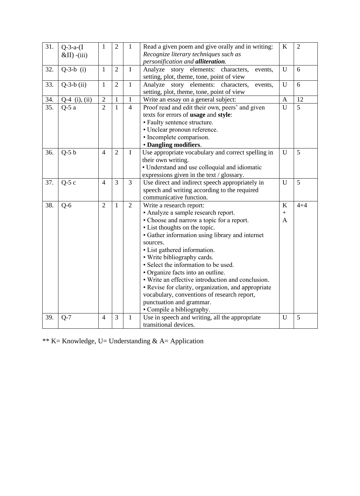| 31. | $Q - 3 - a - (I)$<br>$&$ II) -(iii) | $\mathbf{1}$   | $\overline{2}$ | $\mathbf{1}$   | Read a given poem and give orally and in writing:<br>Recognize literary techniques such as<br>personification and alliteration. | $\bf K$          | $\overline{2}$ |
|-----|-------------------------------------|----------------|----------------|----------------|---------------------------------------------------------------------------------------------------------------------------------|------------------|----------------|
|     |                                     |                |                |                |                                                                                                                                 |                  |                |
| 32. | $Q-3-b$ (i)                         | $\mathbf{1}$   | $\overline{2}$ | $\mathbf I$    | Analyze story elements: characters,<br>events,<br>setting, plot, theme, tone, point of view                                     | U                | 6              |
| 33. | $Q-3-b$ (ii)                        | $\mathbf{1}$   | $\overline{2}$ | $\mathbf{1}$   | Analyze story elements: characters,<br>events,                                                                                  | U                | 6              |
|     |                                     |                |                |                | setting, plot, theme, tone, point of view                                                                                       |                  |                |
| 34. | $Q-4$ (i), (ii)                     | $\overline{2}$ | $\mathbf{1}$   | I              | Write an essay on a general subject:                                                                                            | $\boldsymbol{A}$ | 12             |
| 35. | $Q-5a$                              | $\overline{2}$ | $\mathbf{1}$   | $\overline{4}$ | Proof read and edit their own, peers' and given                                                                                 | U                | 5              |
|     |                                     |                |                |                | texts for errors of usage and style:                                                                                            |                  |                |
|     |                                     |                |                |                | • Faulty sentence structure.                                                                                                    |                  |                |
|     |                                     |                |                |                | • Unclear pronoun reference.                                                                                                    |                  |                |
|     |                                     |                |                |                | • Incomplete comparison.                                                                                                        |                  |                |
|     |                                     |                |                |                | · Dangling modifiers.                                                                                                           |                  |                |
| 36. | $Q-5 b$                             | $\overline{4}$ | $\overline{2}$ | $\mathbf I$    | Use appropriate vocabulary and correct spelling in                                                                              | U                | 5              |
|     |                                     |                |                |                | their own writing.                                                                                                              |                  |                |
|     |                                     |                |                |                | • Understand and use colloquial and idiomatic                                                                                   |                  |                |
|     |                                     |                |                |                | expressions given in the text / glossary.                                                                                       |                  |                |
| 37. | $Q-5c$                              | $\overline{4}$ | 3              | 3              | Use direct and indirect speech appropriately in                                                                                 | U                | 5              |
|     |                                     |                |                |                | speech and writing according to the required                                                                                    |                  |                |
|     |                                     |                |                |                | communicative function.                                                                                                         |                  |                |
| 38. | $Q-6$                               | $\overline{2}$ | $\mathbf{1}$   | $\overline{2}$ | Write a research report:                                                                                                        | $\bf K$          | $4 + 4$        |
|     |                                     |                |                |                | • Analyze a sample research report.                                                                                             | $\ddot{}$        |                |
|     |                                     |                |                |                | • Choose and narrow a topic for a report.                                                                                       | A                |                |
|     |                                     |                |                |                | • List thoughts on the topic.                                                                                                   |                  |                |
|     |                                     |                |                |                | • Gather information using library and internet                                                                                 |                  |                |
|     |                                     |                |                |                | sources.                                                                                                                        |                  |                |
|     |                                     |                |                |                | • List gathered information.                                                                                                    |                  |                |
|     |                                     |                |                |                | • Write bibliography cards.                                                                                                     |                  |                |
|     |                                     |                |                |                | • Select the information to be used.                                                                                            |                  |                |
|     |                                     |                |                |                | • Organize facts into an outline.                                                                                               |                  |                |
|     |                                     |                |                |                | • Write an effective introduction and conclusion.                                                                               |                  |                |
|     |                                     |                |                |                | • Revise for clarity, organization, and appropriate                                                                             |                  |                |
|     |                                     |                |                |                | vocabulary, conventions of research report,                                                                                     |                  |                |
|     |                                     |                |                |                | punctuation and grammar.                                                                                                        |                  |                |
|     |                                     |                |                |                | • Compile a bibliography.                                                                                                       |                  |                |
| 39. | $Q-7$                               | $\overline{4}$ | 3              | $\mathbf{1}$   | Use in speech and writing, all the appropriate                                                                                  | U                | 5              |
|     |                                     |                |                |                | transitional devices.                                                                                                           |                  |                |

\*\* K= Knowledge, U= Understanding & A= Application